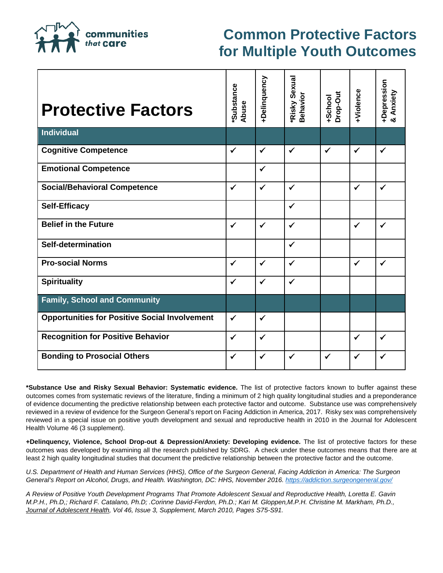communities that **Care** 

## **Common Protective Factors for Multiple Youth Outcomes**

| <b>Protective Factors</b>                            | <b>Substance</b><br>Abuse | +Delinquency | <b>Risky Sexual</b><br><b>Behavior</b> | Drop-Out<br>+School | <b>HViolence</b> | +Depression<br>& Anxiety |
|------------------------------------------------------|---------------------------|--------------|----------------------------------------|---------------------|------------------|--------------------------|
| Individual                                           |                           |              |                                        |                     |                  |                          |
| <b>Cognitive Competence</b>                          | $\checkmark$              | $\checkmark$ | $\checkmark$                           | $\checkmark$        | $\checkmark$     | $\checkmark$             |
| <b>Emotional Competence</b>                          |                           | $\checkmark$ |                                        |                     |                  |                          |
| <b>Social/Behavioral Competence</b>                  | $\checkmark$              | $\checkmark$ | $\checkmark$                           |                     | $\checkmark$     | $\checkmark$             |
| <b>Self-Efficacy</b>                                 |                           |              | $\checkmark$                           |                     |                  |                          |
| <b>Belief in the Future</b>                          | $\checkmark$              | $\checkmark$ | $\checkmark$                           |                     | $\checkmark$     | $\checkmark$             |
| Self-determination                                   |                           |              | $\checkmark$                           |                     |                  |                          |
| <b>Pro-social Norms</b>                              | $\checkmark$              | $\checkmark$ | $\checkmark$                           |                     | $\checkmark$     | $\checkmark$             |
| <b>Spirituality</b>                                  | $\checkmark$              | $\checkmark$ | $\checkmark$                           |                     |                  |                          |
| <b>Family, School and Community</b>                  |                           |              |                                        |                     |                  |                          |
| <b>Opportunities for Positive Social Involvement</b> | $\checkmark$              | $\checkmark$ |                                        |                     |                  |                          |
| <b>Recognition for Positive Behavior</b>             | $\checkmark$              | $\checkmark$ |                                        |                     | $\checkmark$     | $\checkmark$             |
| <b>Bonding to Prosocial Others</b>                   | $\checkmark$              | ✓            | $\checkmark$                           | ✓                   | $\checkmark$     | $\checkmark$             |

**\*Substance Use and Risky Sexual Behavior: Systematic evidence.** The list of protective factors known to buffer against these outcomes comes from systematic reviews of the literature, finding a minimum of 2 high quality longitudinal studies and a preponderance of evidence documenting the predictive relationship between each protective factor and outcome. Substance use was comprehensively reviewed in a review of evidence for the Surgeon General's report on Facing Addiction in America, 2017. Risky sex was comprehensively reviewed in a special issue on positive youth development and sexual and reproductive health in 2010 in the Journal for Adolescent Health Volume 46 (3 supplement).

**+Delinquency, Violence, School Drop-out & Depression/Anxiety: Developing evidence.** The list of protective factors for these outcomes was developed by examining all the research published by SDRG. A check under these outcomes means that there are at least 2 high quality longitudinal studies that document the predictive relationship between the protective factor and the outcome.

*U.S. Department of Health and Human Services (HHS), Office of the Surgeon General, Facing Addiction in America: The Surgeon General's Report on Alcohol, Drugs, and Health. Washington, DC: HHS, November 2016[. https://addiction.surgeongeneral.gov/](https://addiction.surgeongeneral.gov/)*

*A Review of Positive Youth Development Programs That Promote Adolescent Sexual and Reproductive Health, Loretta E. Gavin M.P.H., Ph.D,; Richard F. Catalano, Ph.D; .Corinne David-Ferdon, Ph.D.; Kari M. Gloppen,M.P.H. Christine M. Markham, Ph.D., Journal of Adolescent Health, Vol 46, Issue 3, Supplement, March 2010, Pages S75-S91.*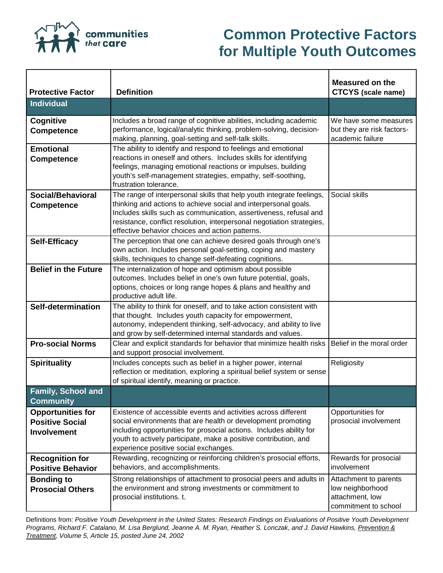

## **Common Protective Factors for Multiple Youth Outcomes**

| <b>Protective Factor</b>                                                 | <b>Definition</b>                                                                                                                                                                                                                                                                                                                          | <b>Measured on the</b><br><b>CTCYS</b> (scale name)                                  |
|--------------------------------------------------------------------------|--------------------------------------------------------------------------------------------------------------------------------------------------------------------------------------------------------------------------------------------------------------------------------------------------------------------------------------------|--------------------------------------------------------------------------------------|
| <b>Individual</b>                                                        |                                                                                                                                                                                                                                                                                                                                            |                                                                                      |
| Cognitive<br><b>Competence</b>                                           | Includes a broad range of cognitive abilities, including academic<br>performance, logical/analytic thinking, problem-solving, decision-<br>making, planning, goal-setting and self-talk skills.                                                                                                                                            | We have some measures<br>but they are risk factors-<br>academic failure              |
| <b>Emotional</b><br><b>Competence</b>                                    | The ability to identify and respond to feelings and emotional<br>reactions in oneself and others. Includes skills for identifying<br>feelings, managing emotional reactions or impulses, building<br>youth's self-management strategies, empathy, self-soothing,<br>frustration tolerance.                                                 |                                                                                      |
| Social/Behavioral<br><b>Competence</b>                                   | The range of interpersonal skills that help youth integrate feelings,<br>thinking and actions to achieve social and interpersonal goals.<br>Includes skills such as communication, assertiveness, refusal and<br>resistance, conflict resolution, interpersonal negotiation strategies,<br>effective behavior choices and action patterns. | Social skills                                                                        |
| <b>Self-Efficacy</b>                                                     | The perception that one can achieve desired goals through one's<br>own action. Includes personal goal-setting, coping and mastery<br>skills, techniques to change self-defeating cognitions.                                                                                                                                               |                                                                                      |
| <b>Belief in the Future</b>                                              | The internalization of hope and optimism about possible<br>outcomes. Includes belief in one's own future potential, goals,<br>options, choices or long range hopes & plans and healthy and<br>productive adult life.                                                                                                                       |                                                                                      |
| Self-determination                                                       | The ability to think for oneself, and to take action consistent with<br>that thought. Includes youth capacity for empowerment,<br>autonomy, independent thinking, self-advocacy, and ability to live<br>and grow by self-determined internal standards and values.                                                                         |                                                                                      |
| <b>Pro-social Norms</b>                                                  | Clear and explicit standards for behavior that minimize health risks<br>and support prosocial involvement.                                                                                                                                                                                                                                 | Belief in the moral order                                                            |
| <b>Spirituality</b>                                                      | Includes concepts such as belief in a higher power, internal<br>reflection or meditation, exploring a spiritual belief system or sense<br>of spiritual identify, meaning or practice.                                                                                                                                                      | Religiosity                                                                          |
| <b>Family, School and</b><br><b>Community</b>                            |                                                                                                                                                                                                                                                                                                                                            |                                                                                      |
| <b>Opportunities for</b><br><b>Positive Social</b><br><b>Involvement</b> | Existence of accessible events and activities across different<br>social environments that are health or development promoting<br>including opportunities for prosocial actions. Includes ability for<br>youth to actively participate, make a positive contribution, and<br>experience positive social exchanges.                         | Opportunities for<br>prosocial involvement                                           |
| <b>Recognition for</b><br><b>Positive Behavior</b>                       | Rewarding, recognizing or reinforcing children's prosocial efforts,<br>behaviors, and accomplishments.                                                                                                                                                                                                                                     | Rewards for prosocial<br>involvement                                                 |
| <b>Bonding to</b><br><b>Prosocial Others</b>                             | Strong relationships of attachment to prosocial peers and adults in<br>the environment and strong investments or commitment to<br>prosocial institutions. t.                                                                                                                                                                               | Attachment to parents<br>low neighborhood<br>attachment, low<br>commitment to school |

Definitions from: *Positive Youth Development in the United States: Research Findings on Evaluations of Positive Youth Development Programs, Richard F. Catalano, M. Lisa Berglund, Jeanne A. M. Ryan, Heather S. Lonczak, and J. David Hawkins, Prevention & Treatment, Volume 5, Article 15, posted June 24, 2002*